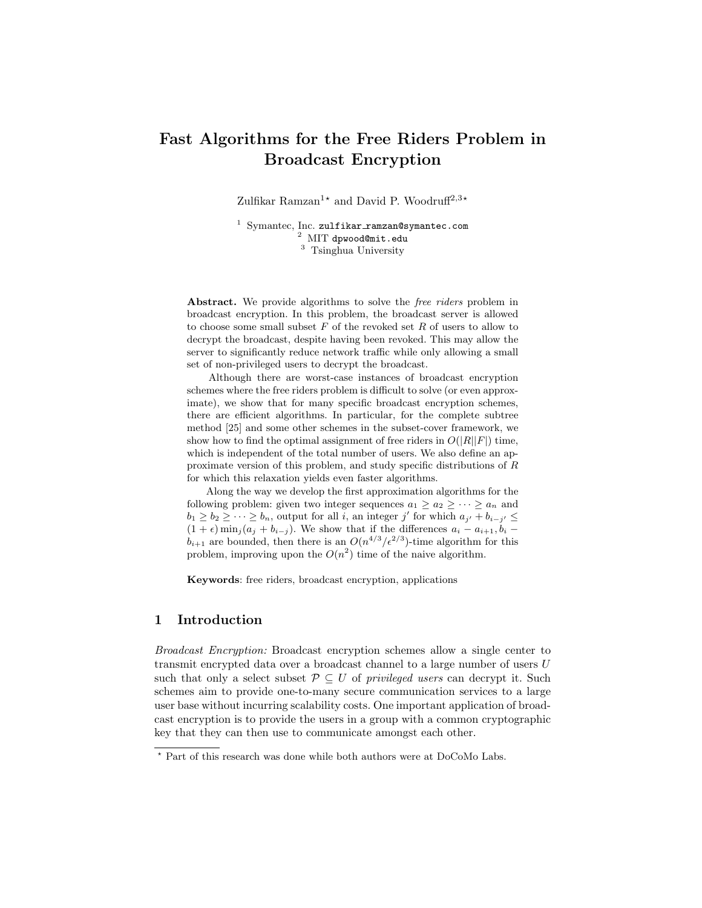# Fast Algorithms for the Free Riders Problem in Broadcast Encryption

Zulfikar Ramzan<sup>1\*</sup> and David P. Woodruff<sup>2,3\*</sup>

 $^{\rm 1}$  Symantec, Inc. zulfikar\_ramzan@symantec.com  $^2$  MIT dpwood@mit.edu <sup>3</sup> Tsinghua University

Abstract. We provide algorithms to solve the *free riders* problem in broadcast encryption. In this problem, the broadcast server is allowed to choose some small subset  $F$  of the revoked set  $R$  of users to allow to decrypt the broadcast, despite having been revoked. This may allow the server to significantly reduce network traffic while only allowing a small set of non-privileged users to decrypt the broadcast.

Although there are worst-case instances of broadcast encryption schemes where the free riders problem is difficult to solve (or even approximate), we show that for many specific broadcast encryption schemes, there are efficient algorithms. In particular, for the complete subtree method [25] and some other schemes in the subset-cover framework, we show how to find the optimal assignment of free riders in  $O(|R||F|)$  time, which is independent of the total number of users. We also define an approximate version of this problem, and study specific distributions of R for which this relaxation yields even faster algorithms.

Along the way we develop the first approximation algorithms for the following problem: given two integer sequences  $a_1 \geq a_2 \geq \cdots \geq a_n$  and  $b_1 \geq b_2 \geq \cdots \geq b_n$ , output for all i, an integer j' for which  $a_{j'} + b_{i-j'} \leq$  $(1 + \epsilon)$  min<sub>j</sub> $(a_j + b_{i-j})$ . We show that if the differences  $a_i - a_{i+1}, b_i$  $b_{i+1}$  are bounded, then there is an  $O(n^{4/3}/\epsilon^{2/3})$ -time algorithm for this problem, improving upon the  $O(n^2)$  time of the naive algorithm.

Keywords: free riders, broadcast encryption, applications

## 1 Introduction

Broadcast Encryption: Broadcast encryption schemes allow a single center to transmit encrypted data over a broadcast channel to a large number of users U such that only a select subset  $P \subseteq U$  of *privileged users* can decrypt it. Such schemes aim to provide one-to-many secure communication services to a large user base without incurring scalability costs. One important application of broadcast encryption is to provide the users in a group with a common cryptographic key that they can then use to communicate amongst each other.

<sup>?</sup> Part of this research was done while both authors were at DoCoMo Labs.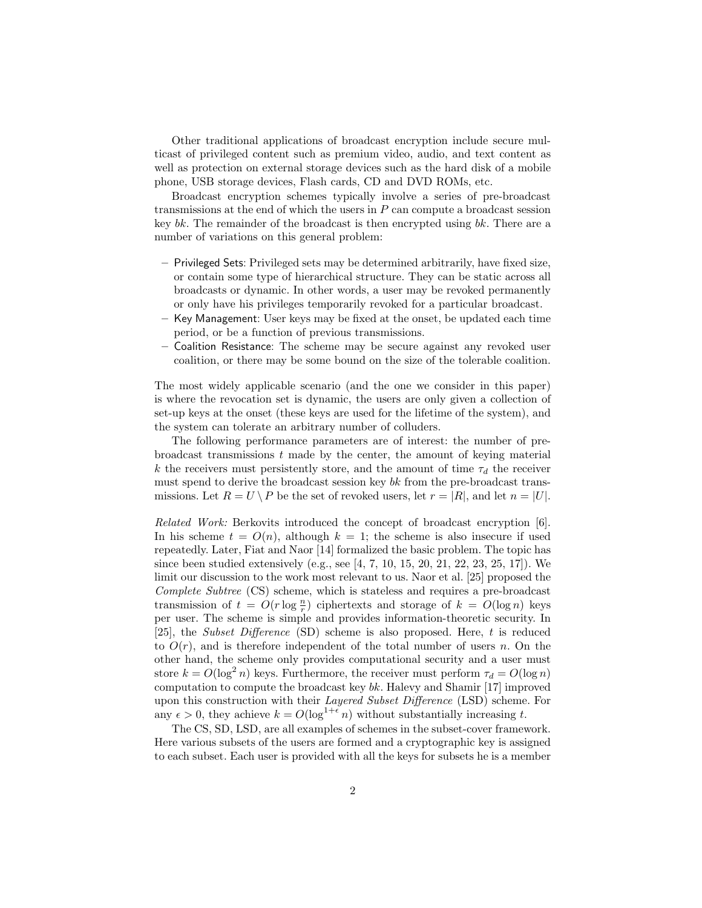Other traditional applications of broadcast encryption include secure multicast of privileged content such as premium video, audio, and text content as well as protection on external storage devices such as the hard disk of a mobile phone, USB storage devices, Flash cards, CD and DVD ROMs, etc.

Broadcast encryption schemes typically involve a series of pre-broadcast transmissions at the end of which the users in  $P$  can compute a broadcast session key bk. The remainder of the broadcast is then encrypted using bk. There are a number of variations on this general problem:

- Privileged Sets: Privileged sets may be determined arbitrarily, have fixed size, or contain some type of hierarchical structure. They can be static across all broadcasts or dynamic. In other words, a user may be revoked permanently or only have his privileges temporarily revoked for a particular broadcast.
- Key Management: User keys may be fixed at the onset, be updated each time period, or be a function of previous transmissions.
- Coalition Resistance: The scheme may be secure against any revoked user coalition, or there may be some bound on the size of the tolerable coalition.

The most widely applicable scenario (and the one we consider in this paper) is where the revocation set is dynamic, the users are only given a collection of set-up keys at the onset (these keys are used for the lifetime of the system), and the system can tolerate an arbitrary number of colluders.

The following performance parameters are of interest: the number of prebroadcast transmissions  $t$  made by the center, the amount of keying material k the receivers must persistently store, and the amount of time  $\tau_d$  the receiver must spend to derive the broadcast session key bk from the pre-broadcast transmissions. Let  $R = U \setminus P$  be the set of revoked users, let  $r = |R|$ , and let  $n = |U|$ .

Related Work: Berkovits introduced the concept of broadcast encryption [6]. In his scheme  $t = O(n)$ , although  $k = 1$ ; the scheme is also insecure if used repeatedly. Later, Fiat and Naor [14] formalized the basic problem. The topic has since been studied extensively (e.g., see [4, 7, 10, 15, 20, 21, 22, 23, 25, 17]). We limit our discussion to the work most relevant to us. Naor et al. [25] proposed the Complete Subtree (CS) scheme, which is stateless and requires a pre-broadcast transmission of  $t = O(r \log \frac{n}{r})$  ciphertexts and storage of  $k = O(\log n)$  keys per user. The scheme is simple and provides information-theoretic security. In [25], the *Subset Difference* (SD) scheme is also proposed. Here, t is reduced to  $O(r)$ , and is therefore independent of the total number of users n. On the other hand, the scheme only provides computational security and a user must store  $k = O(\log^2 n)$  keys. Furthermore, the receiver must perform  $\tau_d = O(\log n)$ computation to compute the broadcast key bk. Halevy and Shamir [17] improved upon this construction with their Layered Subset Difference (LSD) scheme. For any  $\epsilon > 0$ , they achieve  $k = O(\log^{1+\epsilon} n)$  without substantially increasing t.

The CS, SD, LSD, are all examples of schemes in the subset-cover framework. Here various subsets of the users are formed and a cryptographic key is assigned to each subset. Each user is provided with all the keys for subsets he is a member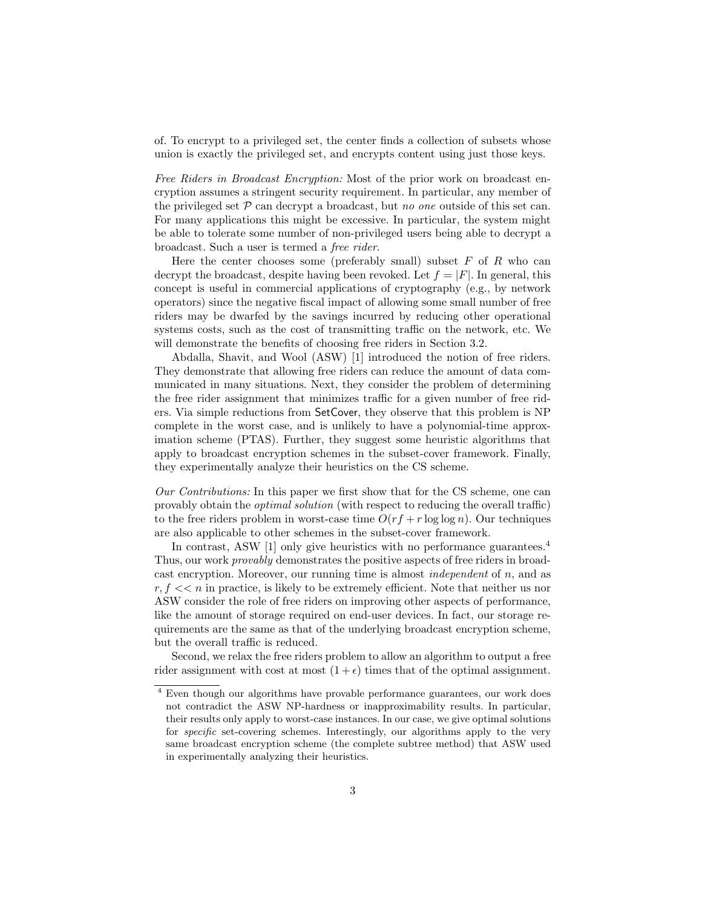of. To encrypt to a privileged set, the center finds a collection of subsets whose union is exactly the privileged set, and encrypts content using just those keys.

Free Riders in Broadcast Encryption: Most of the prior work on broadcast encryption assumes a stringent security requirement. In particular, any member of the privileged set  $\mathcal P$  can decrypt a broadcast, but no one outside of this set can. For many applications this might be excessive. In particular, the system might be able to tolerate some number of non-privileged users being able to decrypt a broadcast. Such a user is termed a free rider.

Here the center chooses some (preferably small) subset  $F$  of  $R$  who can decrypt the broadcast, despite having been revoked. Let  $f = |F|$ . In general, this concept is useful in commercial applications of cryptography (e.g., by network operators) since the negative fiscal impact of allowing some small number of free riders may be dwarfed by the savings incurred by reducing other operational systems costs, such as the cost of transmitting traffic on the network, etc. We will demonstrate the benefits of choosing free riders in Section 3.2.

Abdalla, Shavit, and Wool (ASW) [1] introduced the notion of free riders. They demonstrate that allowing free riders can reduce the amount of data communicated in many situations. Next, they consider the problem of determining the free rider assignment that minimizes traffic for a given number of free riders. Via simple reductions from SetCover, they observe that this problem is NP complete in the worst case, and is unlikely to have a polynomial-time approximation scheme (PTAS). Further, they suggest some heuristic algorithms that apply to broadcast encryption schemes in the subset-cover framework. Finally, they experimentally analyze their heuristics on the CS scheme.

Our Contributions: In this paper we first show that for the CS scheme, one can provably obtain the optimal solution (with respect to reducing the overall traffic) to the free riders problem in worst-case time  $O(r f + r \log \log n)$ . Our techniques are also applicable to other schemes in the subset-cover framework.

In contrast, ASW [1] only give heuristics with no performance guarantees.<sup>4</sup> Thus, our work *provably* demonstrates the positive aspects of free riders in broadcast encryption. Moreover, our running time is almost *independent* of  $n$ , and as  $r, f \ll n$  in practice, is likely to be extremely efficient. Note that neither us nor ASW consider the role of free riders on improving other aspects of performance, like the amount of storage required on end-user devices. In fact, our storage requirements are the same as that of the underlying broadcast encryption scheme, but the overall traffic is reduced.

Second, we relax the free riders problem to allow an algorithm to output a free rider assignment with cost at most  $(1 + \epsilon)$  times that of the optimal assignment.

<sup>4</sup> Even though our algorithms have provable performance guarantees, our work does not contradict the ASW NP-hardness or inapproximability results. In particular, their results only apply to worst-case instances. In our case, we give optimal solutions for *specific* set-covering schemes. Interestingly, our algorithms apply to the very same broadcast encryption scheme (the complete subtree method) that ASW used in experimentally analyzing their heuristics.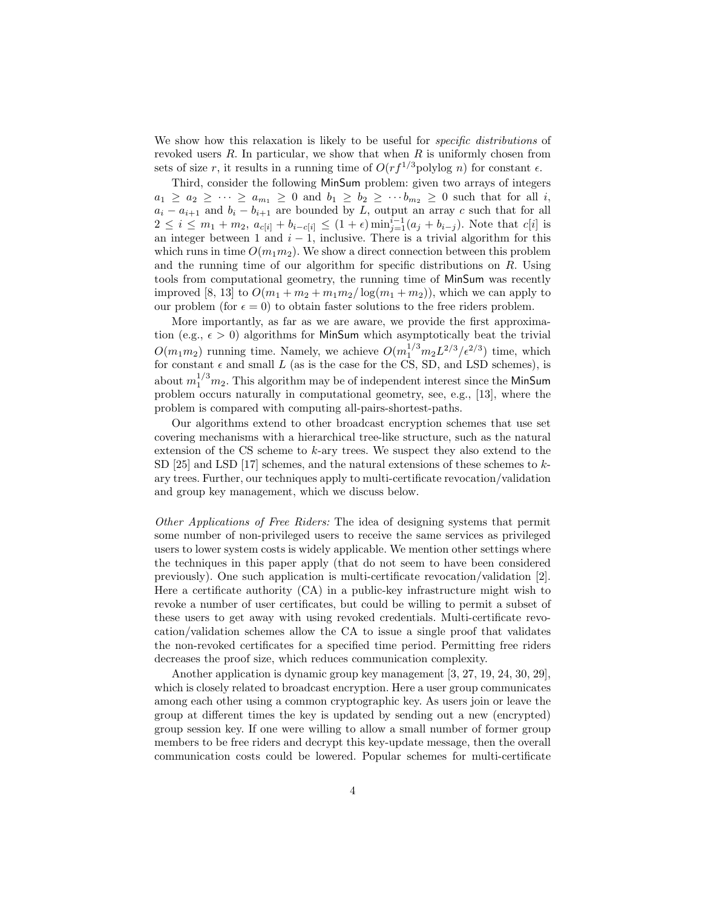We show how this relaxation is likely to be useful for *specific distributions* of revoked users  $R$ . In particular, we show that when  $R$  is uniformly chosen from sets of size r, it results in a running time of  $O(r f^{1/3}$  polylog n) for constant  $\epsilon$ .

Third, consider the following MinSum problem: given two arrays of integers  $a_1 \geq a_2 \geq \cdots \geq a_{m_1} \geq 0$  and  $b_1 \geq b_2 \geq \cdots b_{m_2} \geq 0$  such that for all i,  $a_i - a_{i+1}$  and  $b_i - b_{i+1}$  are bounded by L, output an array c such that for all  $2 \leq i \leq m_1 + m_2, a_{c[i]} + b_{i-c[i]} \leq (1+\epsilon) \min_{j=1}^{i-1} (a_j + b_{i-j}).$  Note that  $c[i]$  is an integer between 1 and  $i - 1$ , inclusive. There is a trivial algorithm for this which runs in time  $O(m_1m_2)$ . We show a direct connection between this problem and the running time of our algorithm for specific distributions on R. Using tools from computational geometry, the running time of MinSum was recently improved [8, 13] to  $O(m_1 + m_2 + m_1m_2/\log(m_1 + m_2))$ , which we can apply to our problem (for  $\epsilon = 0$ ) to obtain faster solutions to the free riders problem.

More importantly, as far as we are aware, we provide the first approximation (e.g.,  $\epsilon > 0$ ) algorithms for MinSum which asymptotically beat the trivial  $O(m_1m_2)$  running time. Namely, we achieve  $O(m_1^{1/3}m_2L^{2/3}/\epsilon^{2/3})$  time, which for constant  $\epsilon$  and small L (as is the case for the CS, SD, and LSD schemes), is about  $m_1^{1/3}m_2$ . This algorithm may be of independent interest since the MinSum problem occurs naturally in computational geometry, see, e.g., [13], where the problem is compared with computing all-pairs-shortest-paths.

Our algorithms extend to other broadcast encryption schemes that use set covering mechanisms with a hierarchical tree-like structure, such as the natural extension of the CS scheme to  $k$ -ary trees. We suspect they also extend to the SD  $[25]$  and LSD  $[17]$  schemes, and the natural extensions of these schemes to kary trees. Further, our techniques apply to multi-certificate revocation/validation and group key management, which we discuss below.

Other Applications of Free Riders: The idea of designing systems that permit some number of non-privileged users to receive the same services as privileged users to lower system costs is widely applicable. We mention other settings where the techniques in this paper apply (that do not seem to have been considered previously). One such application is multi-certificate revocation/validation [2]. Here a certificate authority (CA) in a public-key infrastructure might wish to revoke a number of user certificates, but could be willing to permit a subset of these users to get away with using revoked credentials. Multi-certificate revocation/validation schemes allow the CA to issue a single proof that validates the non-revoked certificates for a specified time period. Permitting free riders decreases the proof size, which reduces communication complexity.

Another application is dynamic group key management [3, 27, 19, 24, 30, 29], which is closely related to broadcast encryption. Here a user group communicates among each other using a common cryptographic key. As users join or leave the group at different times the key is updated by sending out a new (encrypted) group session key. If one were willing to allow a small number of former group members to be free riders and decrypt this key-update message, then the overall communication costs could be lowered. Popular schemes for multi-certificate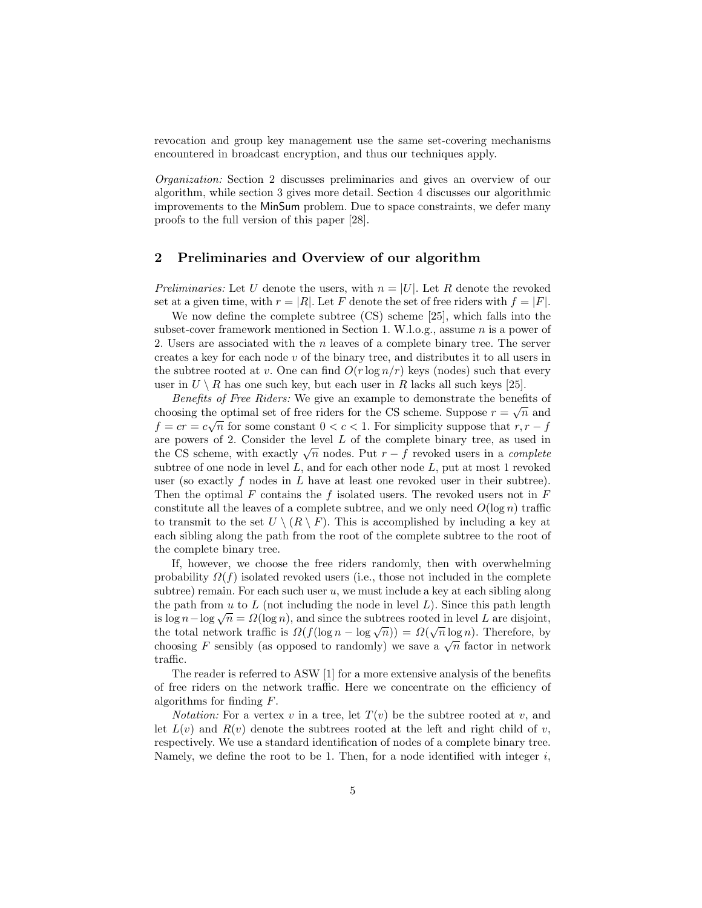revocation and group key management use the same set-covering mechanisms encountered in broadcast encryption, and thus our techniques apply.

Organization: Section 2 discusses preliminaries and gives an overview of our algorithm, while section 3 gives more detail. Section 4 discusses our algorithmic improvements to the MinSum problem. Due to space constraints, we defer many proofs to the full version of this paper [28].

# 2 Preliminaries and Overview of our algorithm

Preliminaries: Let U denote the users, with  $n = |U|$ . Let R denote the revoked set at a given time, with  $r = |R|$ . Let F denote the set of free riders with  $f = |F|$ .

We now define the complete subtree (CS) scheme [25], which falls into the subset-cover framework mentioned in Section 1. W.l.o.g., assume  $n$  is a power of 2. Users are associated with the n leaves of a complete binary tree. The server creates a key for each node v of the binary tree, and distributes it to all users in the subtree rooted at v. One can find  $O(r \log n/r)$  keys (nodes) such that every user in  $U \setminus R$  has one such key, but each user in R lacks all such keys [25].

Benefits of Free Riders: We give an example to demonstrate the benefits of choosing the optimal set of free riders for the CS scheme. Suppose  $r = \sqrt{n}$  and  $f = cr = c\sqrt{n}$  for some constant  $0 < c < 1$ . For simplicity suppose that  $r, r - f$ are powers of 2. Consider the level L of the complete binary tree, as used in the CS scheme, with exactly  $\sqrt{n}$  nodes. Put  $r - f$  revoked users in a *complete* subtree of one node in level  $L$ , and for each other node  $L$ , put at most 1 revoked user (so exactly f nodes in  $L$  have at least one revoked user in their subtree). Then the optimal  $F$  contains the  $f$  isolated users. The revoked users not in  $F$ constitute all the leaves of a complete subtree, and we only need  $O(\log n)$  traffic to transmit to the set  $U \setminus (R \setminus F)$ . This is accomplished by including a key at each sibling along the path from the root of the complete subtree to the root of the complete binary tree.

If, however, we choose the free riders randomly, then with overwhelming probability  $\Omega(f)$  isolated revoked users (i.e., those not included in the complete subtree) remain. For each such user  $u$ , we must include a key at each sibling along the path from u to L (not including the node in level  $L$ ). Since this path length the path from u to L (hot including the hode in level L). Since this path length<br>is  $\log n - \log \sqrt{n} = \Omega(\log n)$ , and since the subtrees rooted in level L are disjoint, the total network traffic is  $\Omega(f(\log n - \log \sqrt{n})) = \Omega(\sqrt{n} \log n)$ . Therefore, by choosing F sensibly (as opposed to randomly) we save a  $\sqrt{n}$  factor in network traffic.

The reader is referred to ASW [1] for a more extensive analysis of the benefits of free riders on the network traffic. Here we concentrate on the efficiency of algorithms for finding F.

*Notation:* For a vertex v in a tree, let  $T(v)$  be the subtree rooted at v, and let  $L(v)$  and  $R(v)$  denote the subtrees rooted at the left and right child of v, respectively. We use a standard identification of nodes of a complete binary tree. Namely, we define the root to be 1. Then, for a node identified with integer  $i$ ,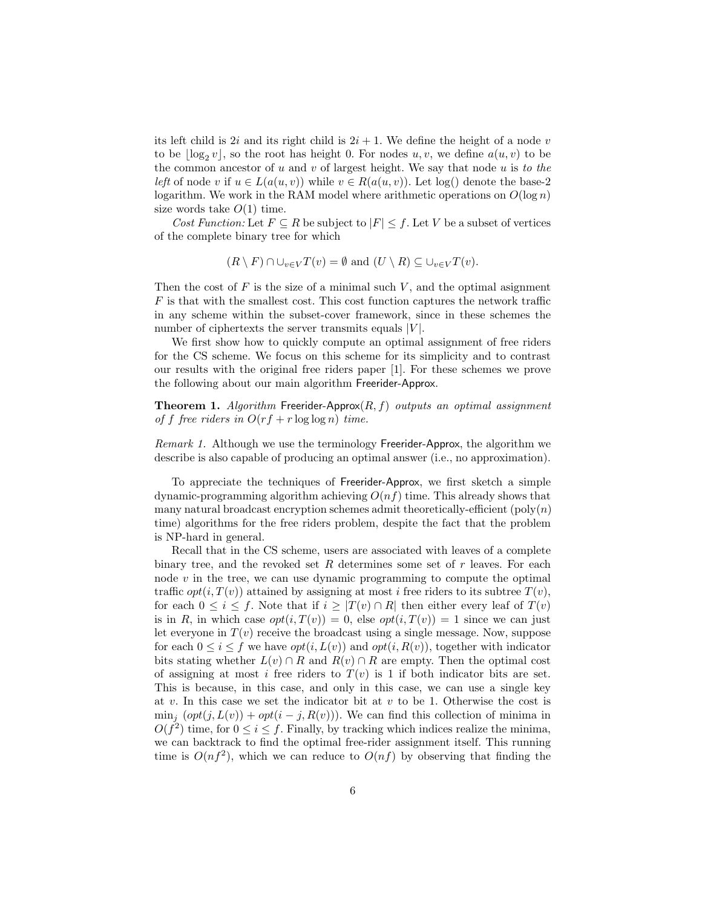its left child is 2i and its right child is  $2i + 1$ . We define the height of a node v to be  $\lfloor \log_2 v \rfloor$ , so the root has height 0. For nodes  $u, v$ , we define  $a(u, v)$  to be the common ancestor of u and v of largest height. We say that node u is to the left of node v if  $u \in L(a(u, v))$  while  $v \in R(a(u, v))$ . Let log() denote the base-2 logarithm. We work in the RAM model where arithmetic operations on  $O(\log n)$ size words take  $O(1)$  time.

Cost Function: Let  $F \subseteq R$  be subject to  $|F| \leq f$ . Let V be a subset of vertices of the complete binary tree for which

$$
(R \setminus F) \cap \cup_{v \in V} T(v) = \emptyset
$$
 and  $(U \setminus R) \subseteq \cup_{v \in V} T(v)$ .

Then the cost of  $F$  is the size of a minimal such  $V$ , and the optimal asignment  $F$  is that with the smallest cost. This cost function captures the network traffic in any scheme within the subset-cover framework, since in these schemes the number of ciphertexts the server transmits equals  $|V|$ .

We first show how to quickly compute an optimal assignment of free riders for the CS scheme. We focus on this scheme for its simplicity and to contrast our results with the original free riders paper [1]. For these schemes we prove the following about our main algorithm Freerider-Approx.

**Theorem 1.** Algorithm Freerider-Approx $(R, f)$  outputs an optimal assignment of f free riders in  $O(r f + r \log \log n)$  time.

Remark 1. Although we use the terminology Freerider-Approx, the algorithm we describe is also capable of producing an optimal answer (i.e., no approximation).

To appreciate the techniques of Freerider-Approx, we first sketch a simple dynamic-programming algorithm achieving  $O(n f)$  time. This already shows that many natural broadcast encryption schemes admit theoretically-efficient  $(poly(n))$ time) algorithms for the free riders problem, despite the fact that the problem is NP-hard in general.

Recall that in the CS scheme, users are associated with leaves of a complete binary tree, and the revoked set R determines some set of  $r$  leaves. For each node  $v$  in the tree, we can use dynamic programming to compute the optimal traffic  $opt(i, T(v))$  attained by assigning at most i free riders to its subtree  $T(v)$ , for each  $0 \leq i \leq f$ . Note that if  $i \geq |T(v) \cap R|$  then either every leaf of  $T(v)$ is in R, in which case  $opt(i, T(v)) = 0$ , else  $opt(i, T(v)) = 1$  since we can just let everyone in  $T(v)$  receive the broadcast using a single message. Now, suppose for each  $0 \leq i \leq f$  we have  $opt(i, L(v))$  and  $opt(i, R(v))$ , together with indicator bits stating whether  $L(v) \cap R$  and  $R(v) \cap R$  are empty. Then the optimal cost of assigning at most i free riders to  $T(v)$  is 1 if both indicator bits are set. This is because, in this case, and only in this case, we can use a single key at v. In this case we set the indicator bit at v to be 1. Otherwise the cost is  $\min_i$   $(\text{opt}(j, L(v)) + \text{opt}(i - j, R(v)))$ . We can find this collection of minima in  $O(f^2)$  time, for  $0 \le i \le f$ . Finally, by tracking which indices realize the minima, we can backtrack to find the optimal free-rider assignment itself. This running time is  $O(n f^2)$ , which we can reduce to  $O(n f)$  by observing that finding the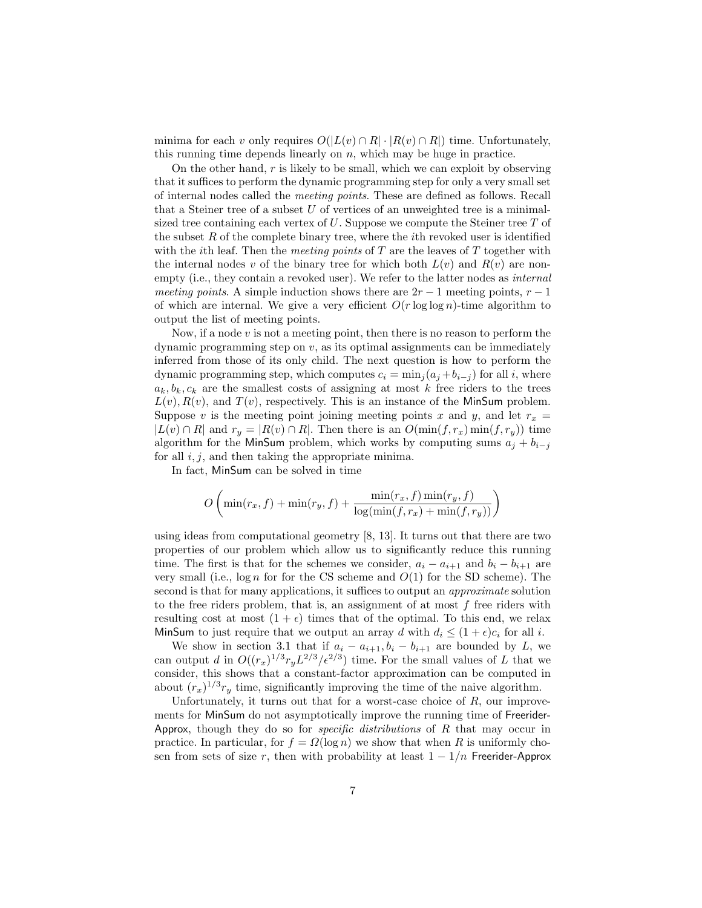minima for each v only requires  $O(|L(v) \cap R| \cdot |R(v) \cap R|)$  time. Unfortunately, this running time depends linearly on  $n$ , which may be huge in practice.

On the other hand,  $r$  is likely to be small, which we can exploit by observing that it suffices to perform the dynamic programming step for only a very small set of internal nodes called the meeting points. These are defined as follows. Recall that a Steiner tree of a subset  $U$  of vertices of an unweighted tree is a minimalsized tree containing each vertex of  $U$ . Suppose we compute the Steiner tree  $T$  of the subset  $R$  of the complete binary tree, where the *i*th revoked user is identified with the *i*th leaf. Then the *meeting points* of  $T$  are the leaves of  $T$  together with the internal nodes v of the binary tree for which both  $L(v)$  and  $R(v)$  are nonempty (i.e., they contain a revoked user). We refer to the latter nodes as *internal* meeting points. A simple induction shows there are  $2r - 1$  meeting points,  $r - 1$ of which are internal. We give a very efficient  $O(r \log \log n)$ -time algorithm to output the list of meeting points.

Now, if a node  $v$  is not a meeting point, then there is no reason to perform the dynamic programming step on  $v$ , as its optimal assignments can be immediately inferred from those of its only child. The next question is how to perform the dynamic programming step, which computes  $c_i = \min_j (a_j + b_{i-j})$  for all i, where  $a_k, b_k, c_k$  are the smallest costs of assigning at most k free riders to the trees  $L(v)$ ,  $R(v)$ , and  $T(v)$ , respectively. This is an instance of the MinSum problem. Suppose v is the meeting point joining meeting points x and y, and let  $r_x =$  $|L(v) \cap R|$  and  $r_y = |R(v) \cap R|$ . Then there is an  $O(\min(f, r_x) \min(f, r_y))$  time algorithm for the MinSum problem, which works by computing sums  $a_j + b_{i-j}$ for all  $i, j$ , and then taking the appropriate minima.

In fact, MinSum can be solved in time

$$
O\left(\min(r_x, f) + \min(r_y, f) + \frac{\min(r_x, f)\min(r_y, f)}{\log(\min(f, r_x) + \min(f, r_y))}\right)
$$

using ideas from computational geometry [8, 13]. It turns out that there are two properties of our problem which allow us to significantly reduce this running time. The first is that for the schemes we consider,  $a_i - a_{i+1}$  and  $b_i - b_{i+1}$  are very small (i.e.,  $\log n$  for for the CS scheme and  $O(1)$  for the SD scheme). The second is that for many applications, it suffices to output an *approximate* solution to the free riders problem, that is, an assignment of at most  $f$  free riders with resulting cost at most  $(1 + \epsilon)$  times that of the optimal. To this end, we relax MinSum to just require that we output an array d with  $d_i \leq (1+\epsilon)c_i$  for all i.

We show in section 3.1 that if  $a_i - a_{i+1}, b_i - b_{i+1}$  are bounded by L, we can output d in  $O((r_x)^{1/3}r_yL^{2/3}/\epsilon^{2/3})$  time. For the small values of L that we consider, this shows that a constant-factor approximation can be computed in about  $(r_x)^{1/3}r_y$  time, significantly improving the time of the naive algorithm.

Unfortunately, it turns out that for a worst-case choice of  $R$ , our improvements for MinSum do not asymptotically improve the running time of Freerider-Approx, though they do so for *specific distributions* of  $R$  that may occur in practice. In particular, for  $f = \Omega(\log n)$  we show that when R is uniformly chosen from sets of size r, then with probability at least  $1 - 1/n$  Freerider-Approx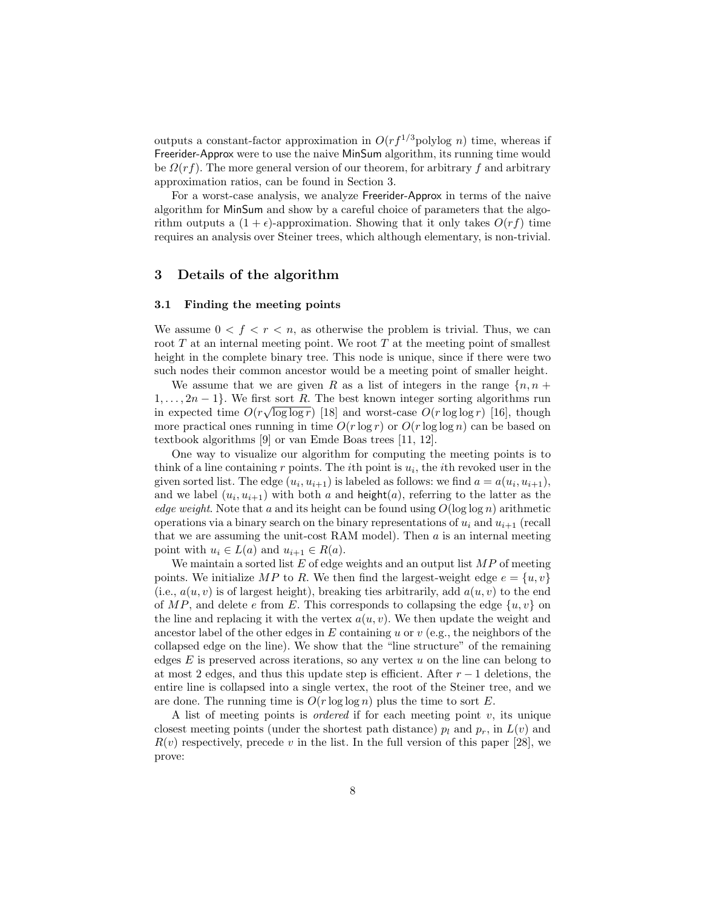outputs a constant-factor approximation in  $O(r f^{1/3}$ polylog n) time, whereas if Freerider-Approx were to use the naive MinSum algorithm, its running time would be  $\Omega(rf)$ . The more general version of our theorem, for arbitrary f and arbitrary approximation ratios, can be found in Section 3.

For a worst-case analysis, we analyze Freerider-Approx in terms of the naive algorithm for MinSum and show by a careful choice of parameters that the algorithm outputs a  $(1 + \epsilon)$ -approximation. Showing that it only takes  $O(r f)$  time requires an analysis over Steiner trees, which although elementary, is non-trivial.

# 3 Details of the algorithm

#### 3.1 Finding the meeting points

We assume  $0 \leq f \leq r \leq n$ , as otherwise the problem is trivial. Thus, we can root  $T$  at an internal meeting point. We root  $T$  at the meeting point of smallest height in the complete binary tree. This node is unique, since if there were two such nodes their common ancestor would be a meeting point of smaller height.

We assume that we are given R as a list of integers in the range  $\{n, n +$ 1, ...,  $2n-1$ }. We first sort R. The best known integer sorting algorithms run in expected time  $O(r\sqrt{\log \log r})$  [18] and worst-case  $O(r \log \log r)$  [16], though more practical ones running in time  $O(r \log r)$  or  $O(r \log \log n)$  can be based on textbook algorithms [9] or van Emde Boas trees [11, 12].

One way to visualize our algorithm for computing the meeting points is to think of a line containing  $r$  points. The *i*<sup>th</sup> point is  $u_i$ , the *i*<sup>th</sup> revoked user in the given sorted list. The edge  $(u_i, u_{i+1})$  is labeled as follows: we find  $a = a(u_i, u_{i+1}),$ and we label  $(u_i, u_{i+1})$  with both a and height(a), referring to the latter as the edge weight. Note that a and its height can be found using  $O(\log \log n)$  arithmetic operations via a binary search on the binary representations of  $u_i$  and  $u_{i+1}$  (recall that we are assuming the unit-cost RAM model). Then  $a$  is an internal meeting point with  $u_i \in L(a)$  and  $u_{i+1} \in R(a)$ .

We maintain a sorted list  $E$  of edge weights and an output list  $MP$  of meeting points. We initialize MP to R. We then find the largest-weight edge  $e = \{u, v\}$ (i.e.,  $a(u, v)$  is of largest height), breaking ties arbitrarily, add  $a(u, v)$  to the end of MP, and delete e from E. This corresponds to collapsing the edge  $\{u, v\}$  on the line and replacing it with the vertex  $a(u, v)$ . We then update the weight and ancestor label of the other edges in  $E$  containing u or  $v$  (e.g., the neighbors of the collapsed edge on the line). We show that the "line structure" of the remaining edges  $E$  is preserved across iterations, so any vertex  $u$  on the line can belong to at most 2 edges, and thus this update step is efficient. After  $r - 1$  deletions, the entire line is collapsed into a single vertex, the root of the Steiner tree, and we are done. The running time is  $O(r \log \log n)$  plus the time to sort E.

A list of meeting points is *ordered* if for each meeting point  $v$ , its unique closest meeting points (under the shortest path distance)  $p_l$  and  $p_r$ , in  $L(v)$  and  $R(v)$  respectively, precede v in the list. In the full version of this paper [28], we prove: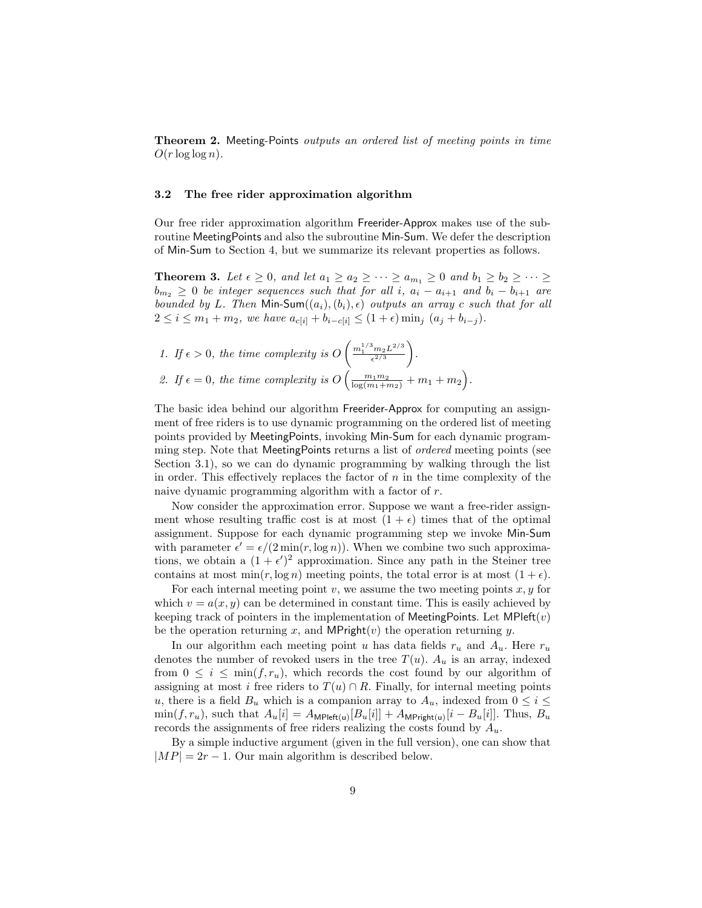**Theorem 2.** Meeting-Points *outputs an ordered list of meeting points in time*  $O(r \log \log n)$ .

## 3.2 The free rider approximation algorithm

Our free rider approximation algorithm Freerider-Approx makes use of the subroutine MeetingPoints and also the subroutine Min-Sum. We defer the description of Min-Sum to Section 4, but we summarize its relevant properties as follows.

**Theorem 3.** Let  $\epsilon \geq 0$ , and let  $a_1 \geq a_2 \geq \cdots \geq a_{m_1} \geq 0$  and  $b_1 \geq b_2 \geq \cdots \geq b_m$  $b_{m_2} \geq 0$  be integer sequences such that for all i,  $a_i - a_{i+1}$  and  $b_i - b_{i+1}$  are bounded by L. Then  $\mathsf{Min\text{-}Sum}((a_i), (b_i), \epsilon)$  outputs an array c such that for all  $2 \leq i \leq m_1 + m_2$ , we have  $a_{c[i]} + b_{i-c[i]} \leq (1+\epsilon) \min_j (a_j + b_{i-j}).$ 

\n- 1. If 
$$
\epsilon > 0
$$
, the time complexity is  $O\left(\frac{m_1^{1/3} m_2 L^{2/3}}{\epsilon^{2/3}}\right)$ .
\n- 2. If  $\epsilon = 0$ , the time complexity is  $O\left(\frac{m_1 m_2}{\log(m_1 + m_2)} + m_1 + m_2\right)$ .
\n

The basic idea behind our algorithm Freerider-Approx for computing an assignment of free riders is to use dynamic programming on the ordered list of meeting points provided by MeetingPoints, invoking Min-Sum for each dynamic programming step. Note that MeetingPoints returns a list of *ordered* meeting points (see Section 3.1), so we can do dynamic programming by walking through the list in order. This effectively replaces the factor of  $n$  in the time complexity of the naive dynamic programming algorithm with a factor of r.

Now consider the approximation error. Suppose we want a free-rider assignment whose resulting traffic cost is at most  $(1 + \epsilon)$  times that of the optimal assignment. Suppose for each dynamic programming step we invoke Min-Sum with parameter  $\epsilon' = \epsilon/(2 \min(r, \log n))$ . When we combine two such approximations, we obtain a  $(1 + \epsilon')^2$  approximation. Since any path in the Steiner tree contains at most  $\min(r, \log n)$  meeting points, the total error is at most  $(1 + \epsilon)$ .

For each internal meeting point v, we assume the two meeting points  $x, y$  for which  $v = a(x, y)$  can be determined in constant time. This is easily achieved by keeping track of pointers in the implementation of MeetingPoints. Let  $\text{MPleft}(v)$ be the operation returning x, and  $\mathsf{MPright}(v)$  the operation returning y.

In our algorithm each meeting point u has data fields  $r_u$  and  $A_u$ . Here  $r_u$ denotes the number of revoked users in the tree  $T(u)$ .  $A_u$  is an array, indexed from  $0 \leq i \leq \min(f, r_u)$ , which records the cost found by our algorithm of assigning at most *i* free riders to  $T(u) \cap R$ . Finally, for internal meeting points u, there is a field  $B_u$  which is a companion array to  $A_u$ , indexed from  $0 \leq i \leq$  $\min(f, r_u)$ , such that  $A_u[i] = A_{\mathsf{MPleft}(u)}[B_u[i]] + A_{\mathsf{MPright}(u)}[i - B_u[i]]$ . Thus,  $B_u$ records the assignments of free riders realizing the costs found by  $A_u$ .

By a simple inductive argument (given in the full version), one can show that  $|MP| = 2r - 1$ . Our main algorithm is described below.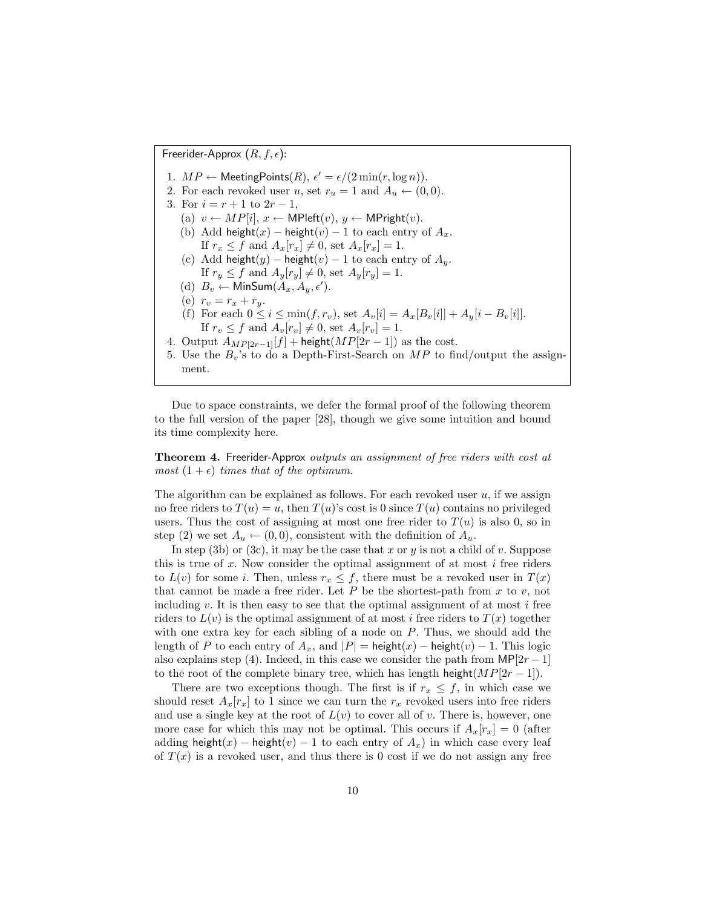Freerider-Approx  $(R, f, \epsilon)$ : 1.  $MP \leftarrow \text{MeetingPoints}(R), \epsilon' = \epsilon/(2 \min(r, \log n)).$ 2. For each revoked user u, set  $r_u = 1$  and  $A_u \leftarrow (0,0)$ . 3. For  $i = r + 1$  to  $2r - 1$ , (a)  $v \leftarrow MP[i], x \leftarrow MPleft(v), y \leftarrow MPright(v).$ (b) Add height(x) – height(v) – 1 to each entry of  $A_x$ . If  $r_x \leq f$  and  $A_x[r_x] \neq 0$ , set  $A_x[r_x] = 1$ . (c) Add height(y) – height(v) – 1 to each entry of  $A_y$ . If  $r_y \n\t\leq f$  and  $A_y[r_y] \neq 0$ , set  $A_y[r_y] = 1$ . (d)  $B_v \leftarrow \mathsf{MinSum}(A_x, A_y, \epsilon').$ (e)  $r_v = r_x + r_y$ . (f) For each  $0 \le i \le \min(f, r_v)$ , set  $A_v[i] = A_x[B_v[i]] + A_y[i - B_v[i]]$ . If  $r_v \leq f$  and  $A_v[r_v] \neq 0$ , set  $A_v[r_v] = 1$ . 4. Output  $A_{MP[2r-1]}[f] + \text{height}(MP[2r-1])$  as the cost. 5. Use the  $B_v$ 's to do a Depth-First-Search on MP to find/output the assignment.

Due to space constraints, we defer the formal proof of the following theorem to the full version of the paper [28], though we give some intuition and bound its time complexity here.

Theorem 4. Freerider-Approx outputs an assignment of free riders with cost at most  $(1 + \epsilon)$  times that of the optimum.

The algorithm can be explained as follows. For each revoked user  $u$ , if we assign no free riders to  $T(u) = u$ , then  $T(u)$ 's cost is 0 since  $T(u)$  contains no privileged users. Thus the cost of assigning at most one free rider to  $T(u)$  is also 0, so in step (2) we set  $A_u \leftarrow (0,0)$ , consistent with the definition of  $A_u$ .

In step (3b) or (3c), it may be the case that x or y is not a child of v. Suppose this is true of  $x$ . Now consider the optimal assignment of at most  $i$  free riders to  $L(v)$  for some i. Then, unless  $r_x \leq f$ , there must be a revoked user in  $T(x)$ that cannot be made a free rider. Let  $P$  be the shortest-path from  $x$  to  $v$ , not including v. It is then easy to see that the optimal assignment of at most  $i$  free riders to  $L(v)$  is the optimal assignment of at most *i* free riders to  $T(x)$  together with one extra key for each sibling of a node on P. Thus, we should add the length of P to each entry of  $A_x$ , and  $|P|$  = height(x) – height(v) – 1. This logic also explains step (4). Indeed, in this case we consider the path from  $\text{MP}[2r-1]$ to the root of the complete binary tree, which has length height $(MP[2r-1])$ .

There are two exceptions though. The first is if  $r_x \leq f$ , in which case we should reset  $A_x[r_x]$  to 1 since we can turn the  $r_x$  revoked users into free riders and use a single key at the root of  $L(v)$  to cover all of v. There is, however, one more case for which this may not be optimal. This occurs if  $A_x[r_x] = 0$  (after adding height(x) – height(v) – 1 to each entry of  $A_x$ ) in which case every leaf of  $T(x)$  is a revoked user, and thus there is 0 cost if we do not assign any free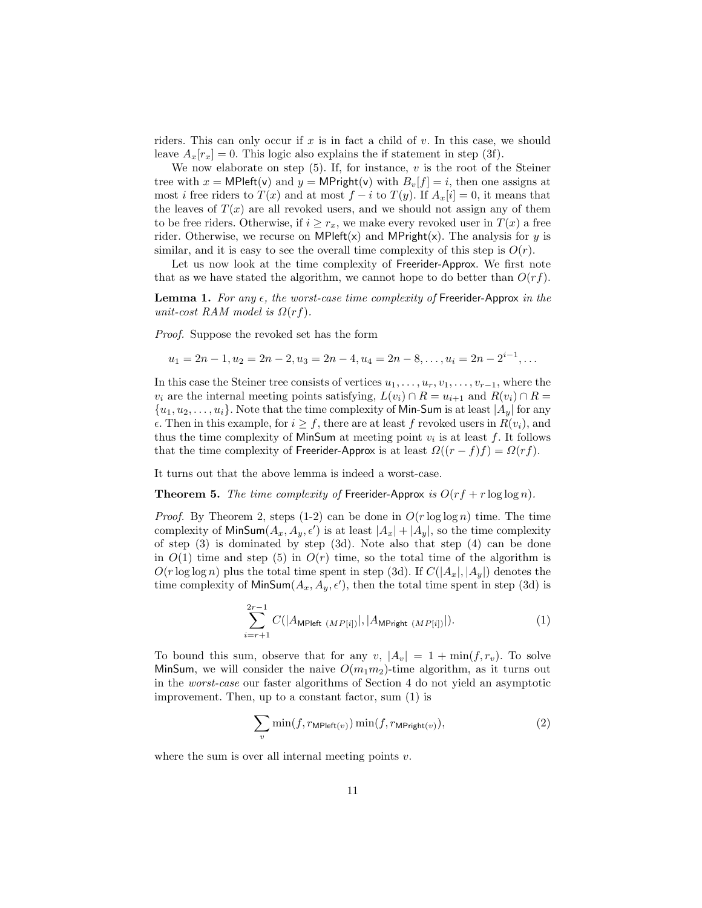riders. This can only occur if x is in fact a child of  $v$ . In this case, we should leave  $A_x[r_x] = 0$ . This logic also explains the if statement in step (3f).

We now elaborate on step  $(5)$ . If, for instance, v is the root of the Steiner tree with  $x = \text{MPleft}(v)$  and  $y = \text{MPright}(v)$  with  $B_v[f] = i$ , then one assigns at most *i* free riders to  $T(x)$  and at most  $f - i$  to  $T(y)$ . If  $A_x[i] = 0$ , it means that the leaves of  $T(x)$  are all revoked users, and we should not assign any of them to be free riders. Otherwise, if  $i \geq r_x$ , we make every revoked user in  $T(x)$  a free rider. Otherwise, we recurse on MPleft(x) and MPright(x). The analysis for y is similar, and it is easy to see the overall time complexity of this step is  $O(r)$ .

Let us now look at the time complexity of Freerider-Approx. We first note that as we have stated the algorithm, we cannot hope to do better than  $O(rf)$ .

**Lemma 1.** For any  $\epsilon$ , the worst-case time complexity of Freerider-Approx in the unit-cost RAM model is  $\Omega(rf)$ .

Proof. Suppose the revoked set has the form

$$
u_1 = 2n - 1, u_2 = 2n - 2, u_3 = 2n - 4, u_4 = 2n - 8, \dots, u_i = 2n - 2^{i-1}, \dots
$$

In this case the Steiner tree consists of vertices  $u_1, \ldots, u_r, v_1, \ldots, v_{r-1}$ , where the  $v_i$  are the internal meeting points satisfying,  $L(v_i) \cap R = u_{i+1}$  and  $R(v_i) \cap R =$  $\{u_1, u_2, \ldots, u_i\}$ . Note that the time complexity of Min-Sum is at least  $|A_u|$  for any  $\epsilon$ . Then in this example, for  $i \geq f$ , there are at least f revoked users in  $R(v_i)$ , and thus the time complexity of MinSum at meeting point  $v_i$  is at least  $f$ . It follows that the time complexity of Freerider-Approx is at least  $\Omega((r-f)f) = \Omega(rf)$ .

It turns out that the above lemma is indeed a worst-case.

**Theorem 5.** The time complexity of Freerider-Approx is  $O(r f + r \log \log n)$ .

*Proof.* By Theorem 2, steps (1-2) can be done in  $O(r \log \log n)$  time. The time complexity of  $\mathsf{MinSum}(A_x, A_y, \epsilon')$  is at least  $|A_x| + |A_y|$ , so the time complexity of step  $(3)$  is dominated by step  $(3d)$ . Note also that step  $(4)$  can be done in  $O(1)$  time and step (5) in  $O(r)$  time, so the total time of the algorithm is  $O(r \log \log n)$  plus the total time spent in step (3d). If  $C(|A_x|, |A_y|)$  denotes the time complexity of  $\mathsf{MinSum}(A_x, A_y, \epsilon')$ , then the total time spent in step (3d) is

$$
\sum_{i=r+1}^{2r-1} C(|A_{\text{MPleft (MP[i])}}|, |A_{\text{MPright (MP[i])}}|). \tag{1}
$$

To bound this sum, observe that for any v,  $|A_v| = 1 + \min(f, r_v)$ . To solve MinSum, we will consider the naive  $O(m_1m_2)$ -time algorithm, as it turns out in the worst-case our faster algorithms of Section 4 do not yield an asymptotic improvement. Then, up to a constant factor, sum (1) is

$$
\sum_{v} \min(f, r_{\text{MPleft}(v)}) \min(f, r_{\text{MPright}(v)}), \tag{2}
$$

where the sum is over all internal meeting points  $v$ .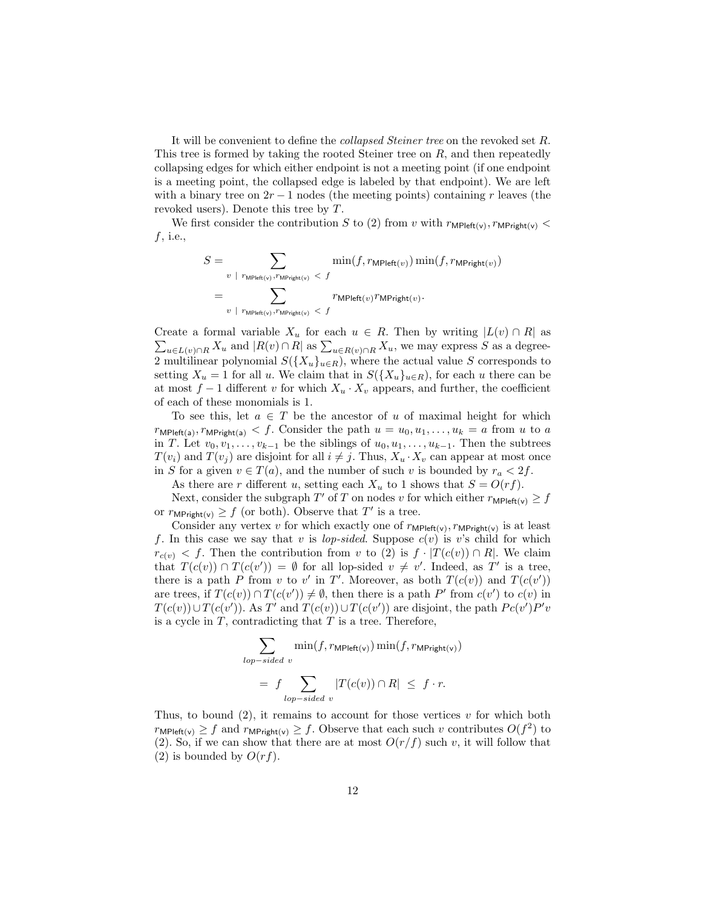It will be convenient to define the collapsed Steiner tree on the revoked set R. This tree is formed by taking the rooted Steiner tree on  $R$ , and then repeatedly collapsing edges for which either endpoint is not a meeting point (if one endpoint is a meeting point, the collapsed edge is labeled by that endpoint). We are left with a binary tree on  $2r - 1$  nodes (the meeting points) containing r leaves (the revoked users). Denote this tree by T.

We first consider the contribution S to (2) from v with  $r_{\text{MPleft}(v)}$ ,  $r_{\text{MPright}(v)}$  < f, i.e.,

$$
S = \sum_{v \text{ } | \text{ } r_{\mathsf{MPleft}(v)}, r_{\mathsf{MPright}(v)} < f} \min(f, r_{\mathsf{MPleft}(v)}) \min(f, r_{\mathsf{MPright}(v)}) \\ = \sum_{v \text{ } | \text{ } r_{\mathsf{MPleft}(v)}, r_{\mathsf{MPright}(v)} < f} \min(\textit{f}, r_{\mathsf{MPright}(v)}.
$$

 $\sum_{u\in L(v)\cap R} X_u$  and  $|R(v)\cap R|$  as  $\sum_{u\in R(v)\cap R} X_u$ , we may express S as a degree-Create a formal variable  $X_u$  for each  $u \in R$ . Then by writing  $|L(v) \cap R|$  as 2 multilinear polynomial  $S({X_u}_{u \in R})$ , where the actual value S corresponds to setting  $X_u = 1$  for all u. We claim that in  $S({X_u}_{u \in R})$ , for each u there can be at most  $f-1$  different v for which  $X_u \cdot X_v$  appears, and further, the coefficient of each of these monomials is 1.

To see this, let  $a \in T$  be the ancestor of u of maximal height for which  $r_{\text{MPleft(a)}}, r_{\text{MPright(a)}} < f$ . Consider the path  $u = u_0, u_1, \ldots, u_k = a$  from u to a in T. Let  $v_0, v_1, \ldots, v_{k-1}$  be the siblings of  $u_0, u_1, \ldots, u_{k-1}$ . Then the subtrees  $T(v_i)$  and  $T(v_j)$  are disjoint for all  $i \neq j$ . Thus,  $X_u \cdot X_v$  can appear at most once in S for a given  $v \in T(a)$ , and the number of such v is bounded by  $r_a < 2f$ .

As there are r different u, setting each  $X_u$  to 1 shows that  $S = O(rf)$ .

Next, consider the subgraph T' of T on nodes v for which either  $r_{\text{MPleft}(v)} \geq f$ or  $r_{\text{MPright}(v)} \geq f$  (or both). Observe that T' is a tree.

Consider any vertex v for which exactly one of  $r_{MPleft(v)}$ ,  $r_{MPright(v)}$  is at least f. In this case we say that v is *lop-sided*. Suppose  $c(v)$  is v's child for which  $r_{c(v)} < f$ . Then the contribution from v to (2) is  $f \cdot |T(c(v)) \cap R|$ . We claim that  $T(c(v)) \cap T(c(v')) = \emptyset$  for all lop-sided  $v \neq v'$ . Indeed, as T' is a tree, there is a path P from v to v' in T'. Moreover, as both  $T(c(v))$  and  $T(c(v'))$ are trees, if  $T(c(v)) \cap T(c(v')) \neq \emptyset$ , then there is a path P' from  $c(v')$  to  $c(v)$  in  $T(c(v)) \cup T(c(v'))$ . As T' and  $T(c(v)) \cup T(c(v'))$  are disjoint, the path  $P_c(v')P'v$ is a cycle in  $T$ , contradicting that  $T$  is a tree. Therefore,

$$
\sum_{\text{lop}-sided \ v} \min(f, r_{\text{MPleft}(v)}) \min(f, r_{\text{MPright}(v)})
$$
\n
$$
= f \sum_{\text{lop}-sided \ v} |T(c(v)) \cap R| \leq f \cdot r.
$$

Thus, to bound  $(2)$ , it remains to account for those vertices v for which both  $r_{\text{MPleft}(v)} \geq f$  and  $r_{\text{MPright}(v)} \geq f$ . Observe that each such v contributes  $O(f^2)$  to (2). So, if we can show that there are at most  $O(r/f)$  such v, it will follow that (2) is bounded by  $O(r f)$ .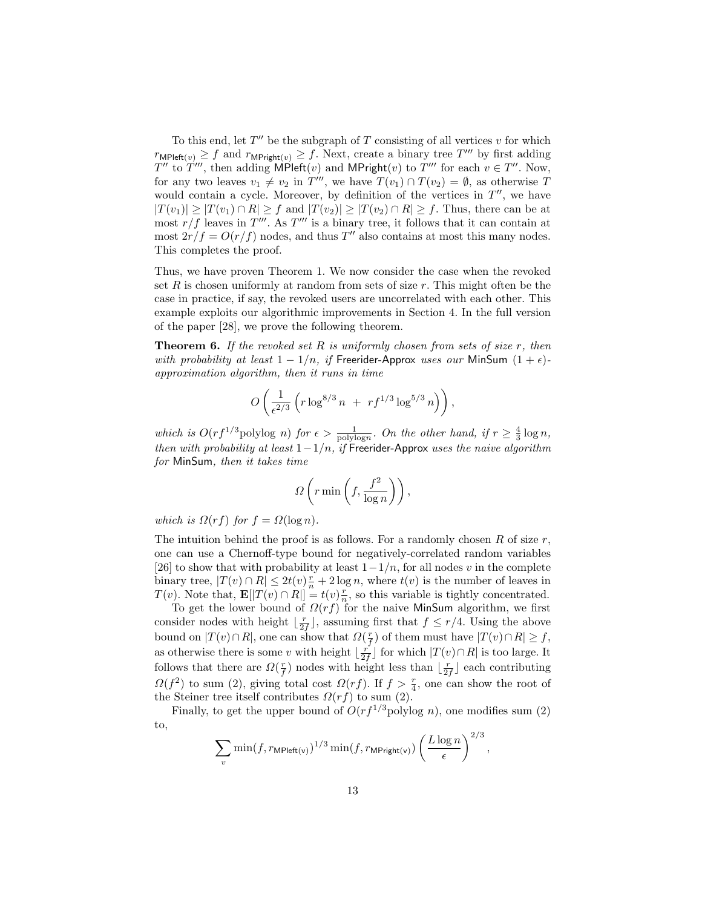To this end, let  $T''$  be the subgraph of T consisting of all vertices  $v$  for which  $r_{\text{MPleft}(v)} \geq f$  and  $r_{\text{MPright}(v)} \geq f$ . Next, create a binary tree T''' by first adding  $T''$  to  $T'''$ , then adding MPleft $(v)$  and MPright $(v)$  to  $T'''$  for each  $v \in T''$ . Now, for any two leaves  $v_1 \neq v_2$  in  $T'''$ , we have  $T(v_1) \cap T(v_2) = \emptyset$ , as otherwise T would contain a cycle. Moreover, by definition of the vertices in  $T''$ , we have  $|T(v_1)| \geq |T(v_1) \cap R| \geq f$  and  $|T(v_2)| \geq |T(v_2) \cap R| \geq f$ . Thus, there can be at most  $r/f$  leaves in  $T'''$ . As  $T'''$  is a binary tree, it follows that it can contain at most  $2r/f = O(r/f)$  nodes, and thus T'' also contains at most this many nodes. This completes the proof.

Thus, we have proven Theorem 1. We now consider the case when the revoked set R is chosen uniformly at random from sets of size  $r$ . This might often be the case in practice, if say, the revoked users are uncorrelated with each other. This example exploits our algorithmic improvements in Section 4. In the full version of the paper [28], we prove the following theorem.

**Theorem 6.** If the revoked set R is uniformly chosen from sets of size  $r$ , then with probability at least  $1 - 1/n$ , if Freerider-Approx uses our MinSum  $(1 + \epsilon)$ approximation algorithm, then it runs in time

$$
O\left(\frac{1}{\epsilon^{2/3}}\left(r\log^{8/3}n\ +\ rf^{1/3}\log^{5/3}n\right)\right),\,
$$

which is  $O(r f^{1/3}$  polylog n) for  $\epsilon > \frac{1}{\text{polylog} n}$ . On the other hand, if  $r \geq \frac{4}{3} \log n$ , then with probability at least  $1-1/n$ , if Freerider-Approx uses the naive algorithm for MinSum, then it takes time

$$
\Omega\left(r \min\left(f, \frac{f^2}{\log n}\right)\right),\right
$$

which is  $\Omega(r f)$  for  $f = \Omega(\log n)$ .

The intuition behind the proof is as follows. For a randomly chosen  $R$  of size  $r$ , one can use a Chernoff-type bound for negatively-correlated random variables [26] to show that with probability at least  $1-\frac{1}{n}$ , for all nodes v in the complete binary tree,  $|T(v) \cap R| \leq 2t(v) \frac{r}{n} + 2 \log n$ , where  $t(v)$  is the number of leaves in  $T(v)$ . Note that,  $\mathbf{E}[|T(v) \cap R|] = t(v) \frac{r}{n}$ , so this variable is tightly concentrated.

To get the lower bound of  $\Omega(rf)$  for the naive MinSum algorithm, we first consider nodes with height  $\lfloor \frac{r}{2f} \rfloor$ , assuming first that  $f \leq r/4$ . Using the above bound on  $|T(v) \cap R|$ , one can show that  $\Omega(\frac{r}{f})$  of them must have  $|T(v) \cap R| \geq f$ , as otherwise there is some v with height  $\lfloor \frac{r}{2f} \rfloor$  for which  $|T(v) \cap R|$  is too large. It follows that there are  $\Omega(\frac{r}{f})$  nodes with height less than  $\lfloor \frac{r}{2f} \rfloor$  each contributing  $\Omega(f^2)$  to sum (2), giving total cost  $\Omega(rf)$ . If  $f > \frac{r}{4}$ , one can show the root of the Steiner tree itself contributes  $\Omega(rf)$  to sum (2).

Finally, to get the upper bound of  $O(r f^{1/3}$ polylog n), one modifies sum (2) to,

$$
\sum_{v} \min(f, r_{\text{MPleft}(v)})^{1/3} \min(f, r_{\text{MPright}(v)}) \left(\frac{L \log n}{\epsilon}\right)^{2/3},
$$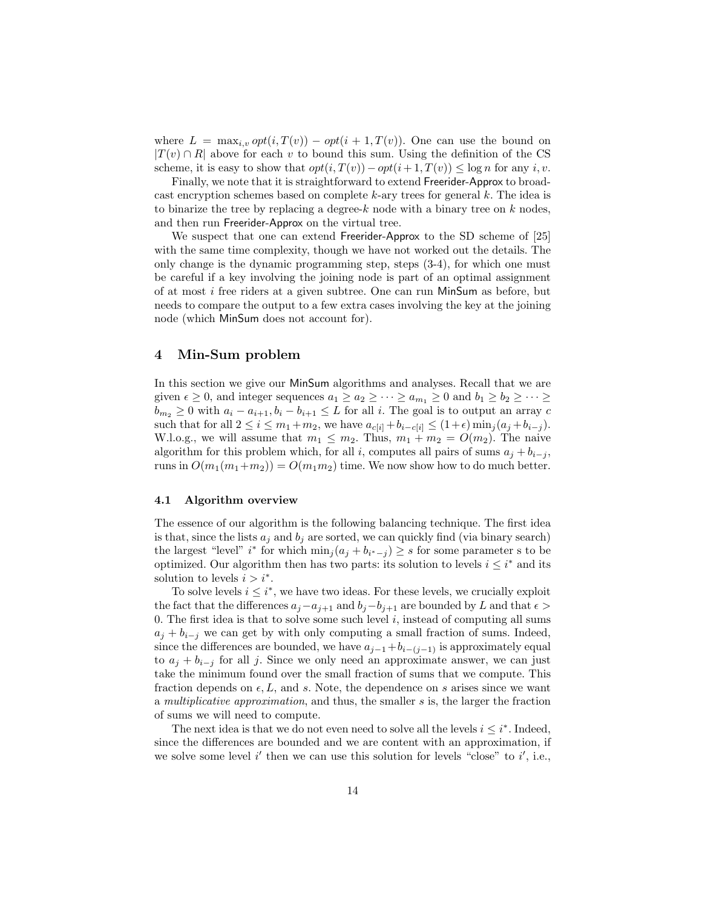where  $L = \max_{i,v} opt(i,T(v)) - opt(i+1,T(v))$ . One can use the bound on  $|T(v) \cap R|$  above for each v to bound this sum. Using the definition of the CS scheme, it is easy to show that  $opt(i, T(v)) - opt(i + 1, T(v)) \leq \log n$  for any i, v.

Finally, we note that it is straightforward to extend Freerider-Approx to broadcast encryption schemes based on complete  $k$ -ary trees for general  $k$ . The idea is to binarize the tree by replacing a degree- $k$  node with a binary tree on  $k$  nodes, and then run Freerider-Approx on the virtual tree.

We suspect that one can extend Freerider-Approx to the SD scheme of [25] with the same time complexity, though we have not worked out the details. The only change is the dynamic programming step, steps (3-4), for which one must be careful if a key involving the joining node is part of an optimal assignment of at most i free riders at a given subtree. One can run MinSum as before, but needs to compare the output to a few extra cases involving the key at the joining node (which MinSum does not account for).

## 4 Min-Sum problem

In this section we give our MinSum algorithms and analyses. Recall that we are given  $\epsilon \geq 0$ , and integer sequences  $a_1 \geq a_2 \geq \cdots \geq a_{m_1} \geq 0$  and  $b_1 \geq b_2 \geq \cdots \geq b_m$  $b_{m_2} \geq 0$  with  $a_i - a_{i+1}, b_i - b_{i+1} \leq L$  for all i. The goal is to output an array c such that for all  $2 \leq i \leq m_1 + m_2$ , we have  $a_{c[i]} + b_{i-c[i]} \leq (1+\epsilon) \min_j (a_j + b_{i-j}).$ W.l.o.g., we will assume that  $m_1 \leq m_2$ . Thus,  $m_1 + m_2 = O(m_2)$ . The naive algorithm for this problem which, for all i, computes all pairs of sums  $a_i + b_{i-i}$ , runs in  $O(m_1(m_1+m_2)) = O(m_1m_2)$  time. We now show how to do much better.

### 4.1 Algorithm overview

The essence of our algorithm is the following balancing technique. The first idea is that, since the lists  $a_j$  and  $b_j$  are sorted, we can quickly find (via binary search) the largest "level" i<sup>\*</sup> for which  $\min_j (a_j + b_{i^*-j}) \geq s$  for some parameter s to be optimized. Our algorithm then has two parts: its solution to levels  $i \leq i^*$  and its solution to levels  $i > i^*$ .

To solve levels  $i \leq i^*$ , we have two ideas. For these levels, we crucially exploit the fact that the differences  $a_j - a_{j+1}$  and  $b_j - b_{j+1}$  are bounded by L and that  $\epsilon$ 0. The first idea is that to solve some such level  $i$ , instead of computing all sums  $a_i + b_{i-j}$  we can get by with only computing a small fraction of sums. Indeed, since the differences are bounded, we have  $a_{j-1}+b_{i-(j-1)}$  is approximately equal to  $a_j + b_{i-j}$  for all j. Since we only need an approximate answer, we can just take the minimum found over the small fraction of sums that we compute. This fraction depends on  $\epsilon, L$ , and s. Note, the dependence on s arises since we want a multiplicative approximation, and thus, the smaller s is, the larger the fraction of sums we will need to compute.

The next idea is that we do not even need to solve all the levels  $i \leq i^*$ . Indeed, since the differences are bounded and we are content with an approximation, if we solve some level  $i'$  then we can use this solution for levels "close" to  $i'$ , i.e.,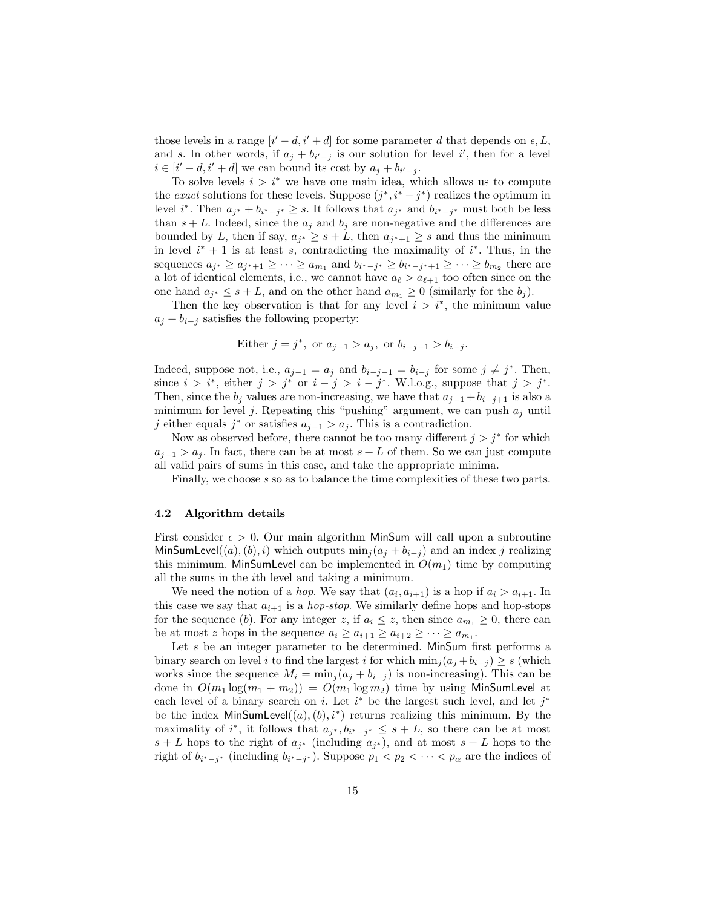those levels in a range  $[i'-d, i'+d]$  for some parameter d that depends on  $\epsilon, L$ , and s. In other words, if  $a_j + b_{i'-j}$  is our solution for level i', then for a level  $i \in [i'-d, i'+d]$  we can bound its cost by  $a_j + b_{i'-j}$ .

To solve levels  $i > i^*$  we have one main idea, which allows us to compute the exact solutions for these levels. Suppose  $(j^*, i^* - j^*)$  realizes the optimum in level i<sup>\*</sup>. Then  $a_{j^*} + b_{i^*-j^*} \geq s$ . It follows that  $a_{j^*}$  and  $b_{i^*-j^*}$  must both be less than  $s + L$ . Indeed, since the  $a_j$  and  $b_j$  are non-negative and the differences are bounded by L, then if say,  $a_{j^*} \geq s + L$ , then  $a_{j^*+1} \geq s$  and thus the minimum in level  $i^* + 1$  is at least s, contradicting the maximality of  $i^*$ . Thus, in the sequences  $a_{j^*} \ge a_{j^*+1} \ge \cdots \ge a_{m_1}$  and  $b_{i^*-j^*} \ge b_{i^*-j^*+1} \ge \cdots \ge b_{m_2}$  there are a lot of identical elements, i.e., we cannot have  $a_{\ell} > a_{\ell+1}$  too often since on the one hand  $a_{j^*} \leq s + L$ , and on the other hand  $a_{m_1} \geq 0$  (similarly for the  $b_j$ ).

Then the key observation is that for any level  $i > i^*$ , the minimum value  $a_j + b_{i-j}$  satisfies the following property:

Either 
$$
j = j^*
$$
, or  $a_{j-1} > a_j$ , or  $b_{i-j-1} > b_{i-j}$ .

Indeed, suppose not, i.e.,  $a_{j-1} = a_j$  and  $b_{i-j-1} = b_{i-j}$  for some  $j \neq j^*$ . Then, since  $i > i^*$ , either  $j > j^*$  or  $i - j > i - j^*$ . W.l.o.g., suppose that  $j > j^*$ . Then, since the  $b_j$  values are non-increasing, we have that  $a_{j-1} + b_{i-j+1}$  is also a minimum for level j. Repeating this "pushing" argument, we can push  $a_j$  until j either equals j<sup>\*</sup> or satisfies  $a_{j-1} > a_j$ . This is a contradiction.

Now as observed before, there cannot be too many different  $j > j^*$  for which  $a_{i-1} > a_i$ . In fact, there can be at most  $s + L$  of them. So we can just compute all valid pairs of sums in this case, and take the appropriate minima.

Finally, we choose s so as to balance the time complexities of these two parts.

#### 4.2 Algorithm details

First consider  $\epsilon > 0$ . Our main algorithm MinSum will call upon a subroutine MinSumLevel((a),(b), i) which outputs  $\min_j (a_j + b_{i-j})$  and an index j realizing this minimum. MinSumLevel can be implemented in  $O(m_1)$  time by computing all the sums in the ith level and taking a minimum.

We need the notion of a *hop*. We say that  $(a_i, a_{i+1})$  is a hop if  $a_i > a_{i+1}$ . In this case we say that  $a_{i+1}$  is a *hop-stop*. We similarly define hops and hop-stops for the sequence (b). For any integer z, if  $a_i \leq z$ , then since  $a_{m_i} \geq 0$ , there can be at most z hops in the sequence  $a_i \ge a_{i+1} \ge a_{i+2} \ge \cdots \ge a_{m_1}$ .

Let s be an integer parameter to be determined. MinSum first performs a binary search on level i to find the largest i for which  $\min_i (a_i + b_{i-j}) \geq s$  (which works since the sequence  $M_i = \min_j (a_j + b_{i-j})$  is non-increasing). This can be done in  $O(m_1 \log(m_1 + m_2)) = O(m_1 \log m_2)$  time by using MinSumLevel at each level of a binary search on i. Let  $i^*$  be the largest such level, and let  $j^*$ be the index  $MinSumLevel((a), (b), i^*)$  returns realizing this minimum. By the maximality of  $i^*$ , it follows that  $a_{j^*}, b_{i^*-j^*} \leq s+L$ , so there can be at most  $s + L$  hops to the right of  $a_{j^*}$  (including  $a_{j^*}$ ), and at most  $s + L$  hops to the right of  $b_{i^*-j^*}$  (including  $b_{i^*-j^*}$ ). Suppose  $p_1 < p_2 < \cdots < p_\alpha$  are the indices of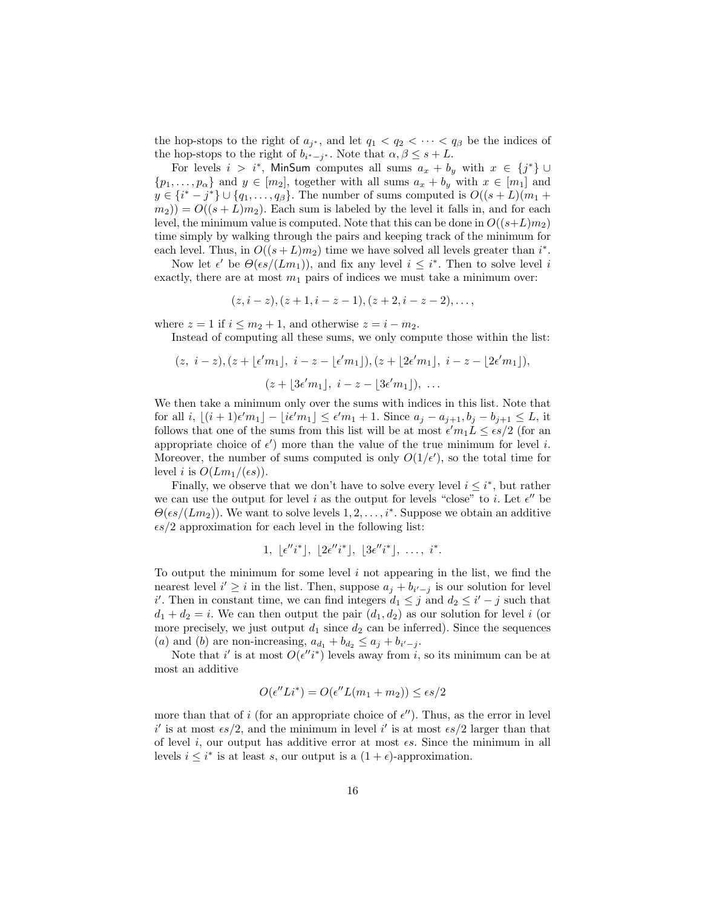the hop-stops to the right of  $a_{j^*}$ , and let  $q_1 < q_2 < \cdots < q_\beta$  be the indices of the hop-stops to the right of  $b_{i^*-j^*}$ . Note that  $\alpha, \beta \leq s + L$ .

For levels  $i > i^*$ , MinSum computes all sums  $a_x + b_y$  with  $x \in \{j^*\}\cup\{j^*\}$  $\{p_1, \ldots, p_\alpha\}$  and  $y \in [m_2]$ , together with all sums  $a_x + b_y$  with  $x \in [m_1]$  and  $y \in \{i^* - j^*\} \cup \{q_1, \ldots, q_\beta\}.$  The number of sums computed is  $O((s+L)(m_1 +$  $(m_2)$ ) =  $O((s+L)m_2)$ . Each sum is labeled by the level it falls in, and for each level, the minimum value is computed. Note that this can be done in  $O((s+L)m_2)$ time simply by walking through the pairs and keeping track of the minimum for each level. Thus, in  $O((s+L)m_2)$  time we have solved all levels greater than  $i^*$ .

Now let  $\epsilon'$  be  $\Theta(\epsilon s/(Lm_1))$ , and fix any level  $i \leq i^*$ . Then to solve level i exactly, there are at most  $m_1$  pairs of indices we must take a minimum over:

$$
(z, i - z), (z + 1, i - z - 1), (z + 2, i - z - 2), \ldots,
$$

where  $z = 1$  if  $i \le m_2 + 1$ , and otherwise  $z = i - m_2$ .

Instead of computing all these sums, we only compute those within the list:

$$
(z, i-z), (z + \lfloor \epsilon' m_1 \rfloor, i-z - \lfloor \epsilon' m_1 \rfloor), (z + \lfloor 2\epsilon' m_1 \rfloor, i-z - \lfloor 2\epsilon' m_1 \rfloor),
$$

$$
(z + \lfloor 3\epsilon' m_1 \rfloor, i-z - \lfloor 3\epsilon' m_1 \rfloor), \dots
$$

We then take a minimum only over the sums with indices in this list. Note that for all  $i, \lfloor (i + 1)\epsilon' m_1 \rfloor - \lfloor i\epsilon' m_1 \rfloor \le \epsilon' m_1 + 1$ . Since  $a_j - a_{j+1}, b_j - b_{j+1} \le L$ , it follows that one of the sums from this list will be at most  $\epsilon' m_1 L \leq \epsilon s/2$  (for an appropriate choice of  $\epsilon'$ ) more than the value of the true minimum for level *i*. Moreover, the number of sums computed is only  $O(1/\epsilon')$ , so the total time for level *i* is  $O(Lm_1/(\epsilon s))$ .

Finally, we observe that we don't have to solve every level  $i \leq i^*$ , but rather we can use the output for level i as the output for levels "close" to i. Let  $\epsilon$ " be  $\Theta(\epsilon s/(Lm_2))$ . We want to solve levels  $1, 2, \ldots, i^*$ . Suppose we obtain an additive  $\epsilon s/2$  approximation for each level in the following list:

1, 
$$
\lfloor \epsilon'' i^* \rfloor
$$
,  $\lfloor 2\epsilon'' i^* \rfloor$ ,  $\lfloor 3\epsilon'' i^* \rfloor$ , ...,  $i^*$ .

To output the minimum for some level  $i$  not appearing in the list, we find the nearest level  $i' \geq i$  in the list. Then, suppose  $a_j + b_{i'-j}$  is our solution for level i'. Then in constant time, we can find integers  $d_1 \leq j$  and  $d_2 \leq i'-j$  such that  $d_1 + d_2 = i$ . We can then output the pair  $(d_1, d_2)$  as our solution for level i (or more precisely, we just output  $d_1$  since  $d_2$  can be inferred). Since the sequences (a) and (b) are non-increasing,  $a_{d_1} + b_{d_2} \le a_j + b_{i'-j}$ .

Note that i' is at most  $O(\epsilon''i^*)$  levels away from i, so its minimum can be at most an additive

$$
O(\epsilon'' L i^*) = O(\epsilon'' L (m_1 + m_2)) \le \epsilon s/2
$$

more than that of i (for an appropriate choice of  $\epsilon'$ ). Thus, as the error in level i' is at most  $\epsilon s/2$ , and the minimum in level i' is at most  $\epsilon s/2$  larger than that of level i, our output has additive error at most  $\epsilon s$ . Since the minimum in all levels  $i \leq i^*$  is at least s, our output is a  $(1 + \epsilon)$ -approximation.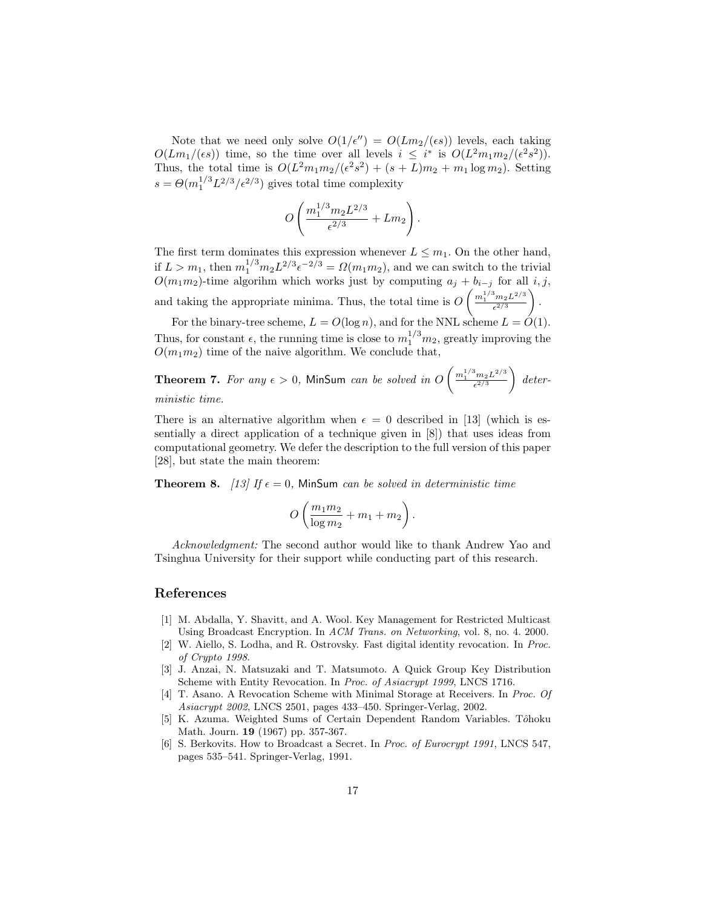Note that we need only solve  $O(1/\epsilon'') = O(Lm_2/(\epsilon s))$  levels, each taking  $O(Lm_1/(\epsilon s))$  time, so the time over all levels  $i \leq i^*$  is  $O(L^2m_1m_2/(\epsilon^2 s^2))$ . Thus, the total time is  $O(L^2m_1m_2/(\epsilon^2 s^2) + (s+L)m_2 + m_1 \log m_2)$ . Setting  $s = \Theta(m_1^{1/3} L^{2/3}/\epsilon^{2/3})$  gives total time complexity

$$
O\left(\frac{m_1^{1/3}m_2L^{2/3}}{\epsilon^{2/3}} + Lm_2\right).
$$

The first term dominates this expression whenever  $L \leq m_1$ . On the other hand, if  $L > m_1$ , then  $m_1^{1/3} m_2 L^{2/3} \epsilon^{-2/3} = \Omega(m_1 m_2)$ , and we can switch to the trivial  $O(m_1m_2)$ -time algorihm which works just by computing  $a_j + b_{i-j}$  for all i, j, and taking the appropriate minima. Thus, the total time is  $O\left(\frac{m_1^{1/3}m_2L^{2/3}}{c^{2/3}}\right)$  $\frac{1}{\epsilon^{2/3}}\bigg)$  .

For the binary-tree scheme,  $L = O(\log n)$ , and for the NNL scheme  $L = O(1)$ . Thus, for constant  $\epsilon$ , the running time is close to  $m_1^{1/3}m_2$ , greatly improving the  $O(m_1m_2)$  time of the naive algorithm. We conclude that,

**Theorem 7.** For any  $\epsilon > 0$ , MinSum can be solved in  $O\left(\frac{m_1^{1/3}m_2L^{2/3}}{c^2\epsilon^2}\right)$  $\left(\frac{e^{3}m_{2}L^{2/3}}{\epsilon^{2/3}}\right)$  deterministic time.

There is an alternative algorithm when  $\epsilon = 0$  described in [13] (which is essentially a direct application of a technique given in [8]) that uses ideas from computational geometry. We defer the description to the full version of this paper [28], but state the main theorem:

**Theorem 8.** [13] If  $\epsilon = 0$ , MinSum can be solved in deterministic time

$$
O\left(\frac{m_1m_2}{\log m_2} + m_1 + m_2\right).
$$

Acknowledgment: The second author would like to thank Andrew Yao and Tsinghua University for their support while conducting part of this research.

## References

- [1] M. Abdalla, Y. Shavitt, and A. Wool. Key Management for Restricted Multicast Using Broadcast Encryption. In ACM Trans. on Networking, vol. 8, no. 4. 2000.
- [2] W. Aiello, S. Lodha, and R. Ostrovsky. Fast digital identity revocation. In Proc. of Crypto 1998.
- [3] J. Anzai, N. Matsuzaki and T. Matsumoto. A Quick Group Key Distribution Scheme with Entity Revocation. In Proc. of Asiacrypt 1999, LNCS 1716.
- [4] T. Asano. A Revocation Scheme with Minimal Storage at Receivers. In Proc. Of Asiacrypt 2002, LNCS 2501, pages 433–450. Springer-Verlag, 2002.
- [5] K. Azuma. Weighted Sums of Certain Dependent Random Variables. Tôhoku Math. Journ. 19 (1967) pp. 357-367.
- [6] S. Berkovits. How to Broadcast a Secret. In Proc. of Eurocrypt 1991, LNCS 547, pages 535–541. Springer-Verlag, 1991.